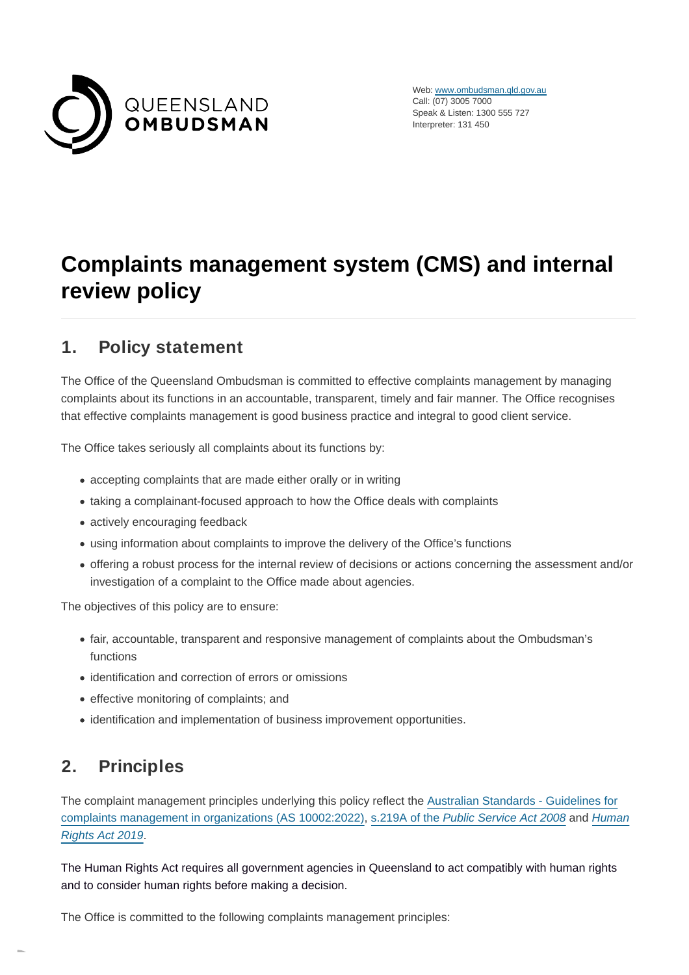

Web: [www.ombudsman.qld.gov.au](https://www.ombudsman.qld.gov.au/) Call: (07) 3005 7000 Speak & Listen: 1300 555 727 Interpreter: 131 450

# **Complaints management system (CMS) and internal review policy**

### **1. Policy statement**

The Office of the Queensland Ombudsman is committed to effective complaints management by managing complaints about its functions in an accountable, transparent, timely and fair manner. The Office recognises that effective complaints management is good business practice and integral to good client service.

The Office takes seriously all complaints about its functions by:

- accepting complaints that are made either orally or in writing
- taking a complainant-focused approach to how the Office deals with complaints
- actively encouraging feedback
- using information about complaints to improve the delivery of the Office's functions
- offering a robust process for the internal review of decisions or actions concerning the assessment and/or investigation of a complaint to the Office made about agencies.

The objectives of this policy are to ensure:

- fair, accountable, transparent and responsive management of complaints about the Ombudsman's functions
- identification and correction of errors or omissions
- effective monitoring of complaints; and
- identification and implementation of business improvement opportunities.

## **2. Principles**

The complaint management principles underlying this policy reflect the [Australian Standards - Guidelines for](https://infostore.saiglobal.com/en-au/Standards/AS-10002-2022-111525_SAIG_AS_AS_3124267/) complaints management in organizations (AS 10002:2022), s.219A of the [Public Service Act 2008](https://www.legislation.qld.gov.au/legisltn/current/p/publicserva08.pdf) and [Human](https://www.legislation.qld.gov.au/view/pdf/asmade/act-2019-005) Rights Act 2019.

The Human Rights Act requires all government agencies in Queensland to act compatibly with human rights and to consider human rights before making a decision.

The Office is committed to the following complaints management principles: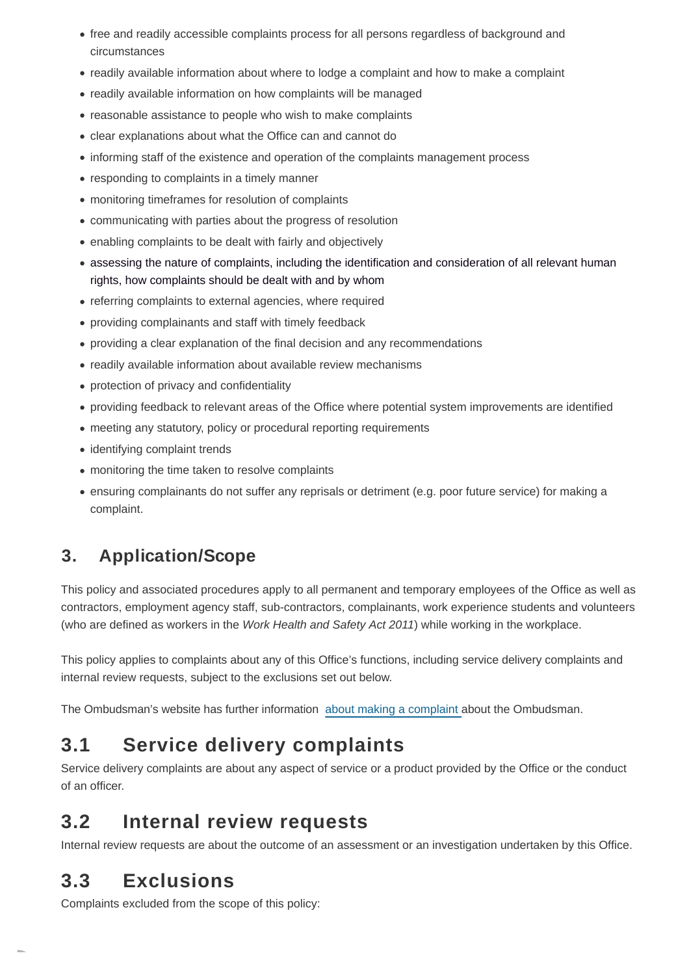- free and readily accessible complaints process for all persons regardless of background and circumstances
- readily available information about where to lodge a complaint and how to make a complaint
- readily available information on how complaints will be managed
- reasonable assistance to people who wish to make complaints
- clear explanations about what the Office can and cannot do
- informing staff of the existence and operation of the complaints management process
- responding to complaints in a timely manner
- monitoring timeframes for resolution of complaints
- communicating with parties about the progress of resolution
- enabling complaints to be dealt with fairly and objectively
- assessing the nature of complaints, including the identification and consideration of all relevant human rights, how complaints should be dealt with and by whom
- referring complaints to external agencies, where required
- providing complainants and staff with timely feedback
- providing a clear explanation of the final decision and any recommendations
- readily available information about available review mechanisms
- protection of privacy and confidentiality
- providing feedback to relevant areas of the Office where potential system improvements are identified
- meeting any statutory, policy or procedural reporting requirements
- identifying complaint trends
- monitoring the time taken to resolve complaints
- ensuring complainants do not suffer any reprisals or detriment (e.g. poor future service) for making a complaint.

## **3. Application/Scope**

This policy and associated procedures apply to all permanent and temporary employees of the Office as well as contractors, employment agency staff, sub-contractors, complainants, work experience students and volunteers (who are defined as workers in the Work Health and Safety Act 2011) while working in the workplace.

This policy applies to complaints about any of this Office's functions, including service delivery complaints and internal review requests, subject to the exclusions set out below.

The Ombudsman's website has further information [about making a complaint a](https://www.ombudsman.qld.gov.au/how-to-complain/unhappy-with-us)bout the Ombudsman.

# **3.1 Service delivery complaints**

Service delivery complaints are about any aspect of service or a product provided by the Office or the conduct of an officer.

## **3.2 Internal review requests**

Internal review requests are about the outcome of an assessment or an investigation undertaken by this Office.

## **3.3 Exclusions**

Complaints excluded from the scope of this policy: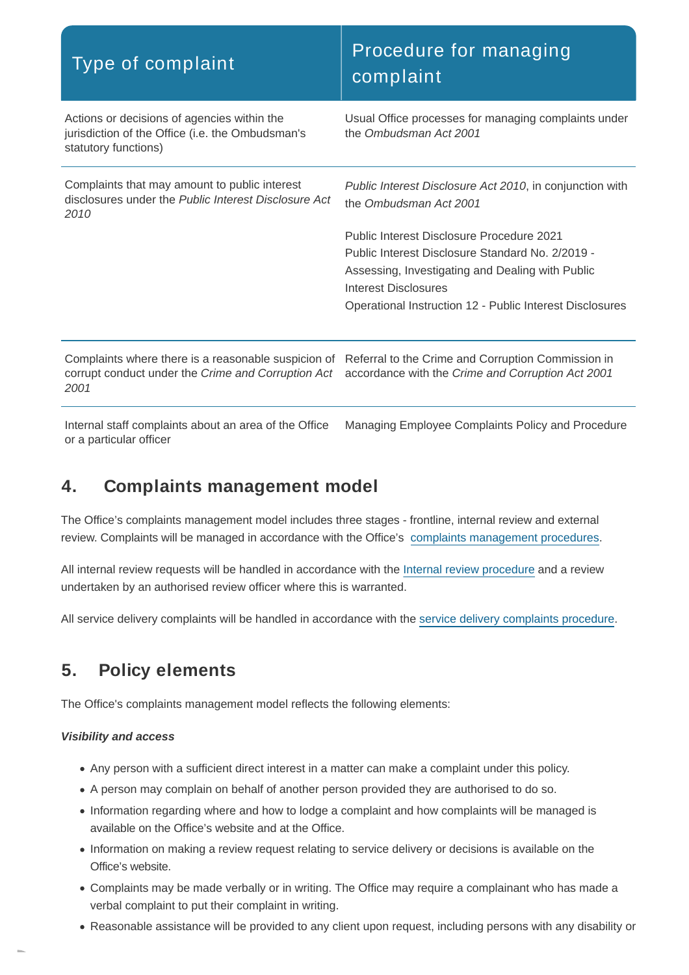| Type of complaint                                                                                                                                                                                                      | Procedure for managing<br>complaint                                                                                                                                                                                                   |
|------------------------------------------------------------------------------------------------------------------------------------------------------------------------------------------------------------------------|---------------------------------------------------------------------------------------------------------------------------------------------------------------------------------------------------------------------------------------|
| Actions or decisions of agencies within the<br>jurisdiction of the Office (i.e. the Ombudsman's<br>statutory functions)                                                                                                | Usual Office processes for managing complaints under<br>the Ombudsman Act 2001                                                                                                                                                        |
| Complaints that may amount to public interest<br>disclosures under the Public Interest Disclosure Act<br>2010                                                                                                          | Public Interest Disclosure Act 2010, in conjunction with<br>the Ombudsman Act 2001                                                                                                                                                    |
|                                                                                                                                                                                                                        | Public Interest Disclosure Procedure 2021<br>Public Interest Disclosure Standard No. 2/2019 -<br>Assessing, Investigating and Dealing with Public<br>Interest Disclosures<br>Operational Instruction 12 - Public Interest Disclosures |
| Complaints where there is a reasonable suspicion of Referral to the Crime and Corruption Commission in<br>corrupt conduct under the Crime and Corruption Act accordance with the Crime and Corruption Act 2001<br>2001 |                                                                                                                                                                                                                                       |

Internal staff complaints about an area of the Office or a particular officer Managing Employee Complaints Policy and Procedure

### **4. Complaints management model**

The Office's complaints management model includes three stages - frontline, internal review and external review. Complaints will be managed in accordance with the Office's [complaints management procedures.](https://www.ombudsman.qld.gov.au/How-to-complain/Unhappy-with-us/unhappy-with-us)

All internal review requests will be handled in accordance with the [Internal review procedure](https://www.ombudsman.qld.gov.au/how-to-complain/unhappy-with-us/complaints-management-system-cms-and-internal-review-policy/internal-review-requests-procedure) and a review undertaken by an authorised review officer where this is warranted.

All service delivery complaints will be handled in accordance with the [service delivery complaints procedure.](https://www.ombudsman.qld.gov.au/how-to-complain/unhappy-with-us/complaints-management-system-cms-and-internal-review-policy/service-delivery-complaints-procedure)

## **5. Policy elements**

The Office's complaints management model reflects the following elements:

#### **Visibility and access**

- Any person with a sufficient direct interest in a matter can make a complaint under this policy.
- A person may complain on behalf of another person provided they are authorised to do so.
- Information regarding where and how to lodge a complaint and how complaints will be managed is available on the Office's website and at the Office.
- Information on making a review request relating to service delivery or decisions is available on the Office's website.
- Complaints may be made verbally or in writing. The Office may require a complainant who has made a verbal complaint to put their complaint in writing.
- Reasonable assistance will be provided to any client upon request, including persons with any disability or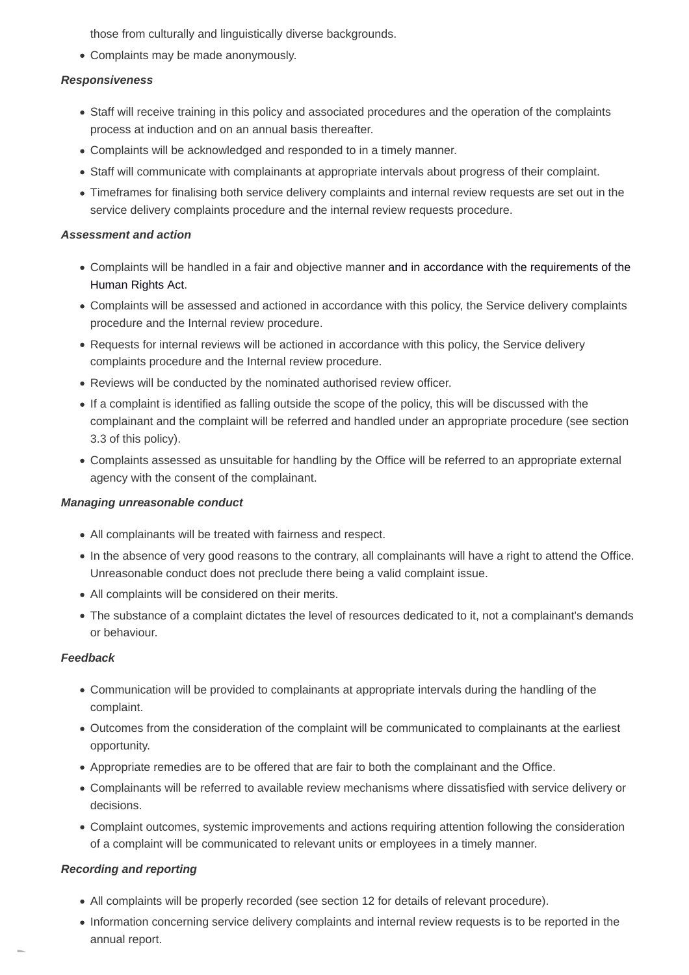those from culturally and linguistically diverse backgrounds.

Complaints may be made anonymously.

#### **Responsiveness**

- Staff will receive training in this policy and associated procedures and the operation of the complaints process at induction and on an annual basis thereafter.
- Complaints will be acknowledged and responded to in a timely manner.
- Staff will communicate with complainants at appropriate intervals about progress of their complaint.
- Timeframes for finalising both service delivery complaints and internal review requests are set out in the service delivery complaints procedure and the internal review requests procedure.

#### **Assessment and action**

- Complaints will be handled in a fair and objective manner and in accordance with the requirements of the Human Rights Act.
- Complaints will be assessed and actioned in accordance with this policy, the Service delivery complaints procedure and the Internal review procedure.
- Requests for internal reviews will be actioned in accordance with this policy, the Service delivery complaints procedure and the Internal review procedure.
- Reviews will be conducted by the nominated authorised review officer.
- If a complaint is identified as falling outside the scope of the policy, this will be discussed with the complainant and the complaint will be referred and handled under an appropriate procedure (see section 3.3 of this policy).
- Complaints assessed as unsuitable for handling by the Office will be referred to an appropriate external agency with the consent of the complainant.

#### **Managing unreasonable conduct**

- All complainants will be treated with fairness and respect.
- In the absence of very good reasons to the contrary, all complainants will have a right to attend the Office. Unreasonable conduct does not preclude there being a valid complaint issue.
- All complaints will be considered on their merits.
- The substance of a complaint dictates the level of resources dedicated to it, not a complainant's demands or behaviour.

#### **Feedback**

- Communication will be provided to complainants at appropriate intervals during the handling of the complaint.
- Outcomes from the consideration of the complaint will be communicated to complainants at the earliest opportunity.
- Appropriate remedies are to be offered that are fair to both the complainant and the Office.
- Complainants will be referred to available review mechanisms where dissatisfied with service delivery or decisions.
- Complaint outcomes, systemic improvements and actions requiring attention following the consideration of a complaint will be communicated to relevant units or employees in a timely manner.

#### **Recording and reporting**

- All complaints will be properly recorded (see section 12 for details of relevant procedure).
- Information concerning service delivery complaints and internal review requests is to be reported in the annual report.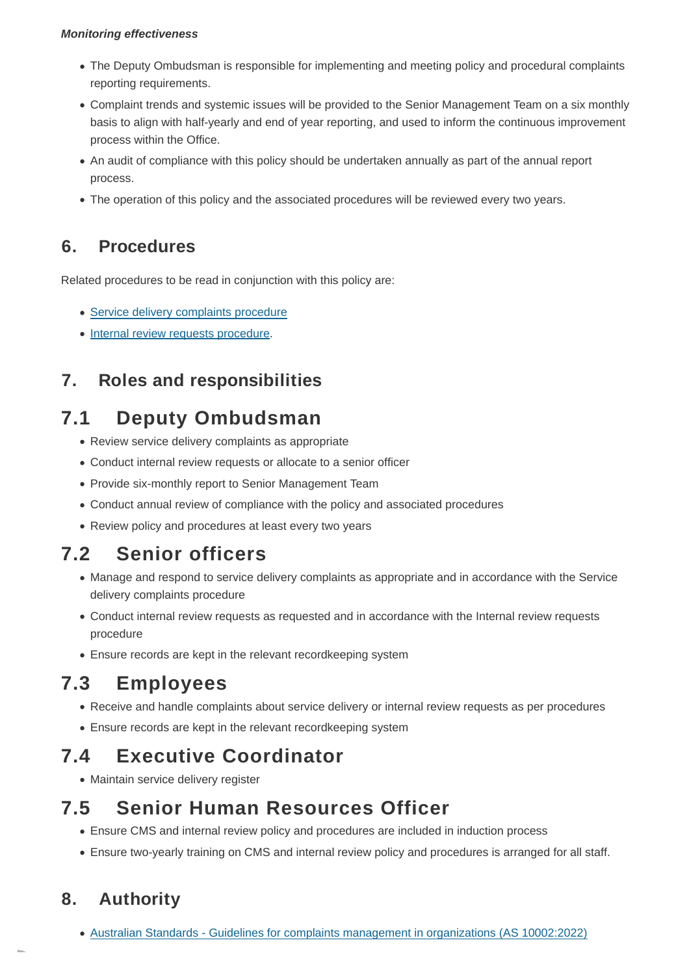#### **Monitoring effectiveness**

- The Deputy Ombudsman is responsible for implementing and meeting policy and procedural complaints reporting requirements.
- Complaint trends and systemic issues will be provided to the Senior Management Team on a six monthly basis to align with half-yearly and end of year reporting, and used to inform the continuous improvement process within the Office.
- An audit of compliance with this policy should be undertaken annually as part of the annual report process.
- The operation of this policy and the associated procedures will be reviewed every two years.

### **6. Procedures**

Related procedures to be read in conjunction with this policy are:

- [Service delivery complaints procedure](https://www.ombudsman.qld.gov.au/how-to-complain/unhappy-with-us/complaints-management-system-cms-and-internal-review-policy/service-delivery-complaints-procedure)
- [Internal review requests procedure.](https://www.ombudsman.qld.gov.au/how-to-complain/unhappy-with-us/complaints-management-system-cms-and-internal-review-policy/internal-review-requests-procedure)

## **7. Roles and responsibilities**

# **7.1 Deputy Ombudsman**

- Review service delivery complaints as appropriate
- Conduct internal review requests or allocate to a senior officer
- Provide six-monthly report to Senior Management Team
- Conduct annual review of compliance with the policy and associated procedures
- Review policy and procedures at least every two years

# **7.2 Senior officers**

- Manage and respond to service delivery complaints as appropriate and in accordance with the Service delivery complaints procedure
- Conduct internal review requests as requested and in accordance with the Internal review requests procedure
- Ensure records are kept in the relevant recordkeeping system

# **7.3 Employees**

- Receive and handle complaints about service delivery or internal review requests as per procedures
- Ensure records are kept in the relevant recordkeeping system

## **7.4 Executive Coordinator**

Maintain service delivery register

## **7.5 Senior Human Resources Officer**

- Ensure CMS and internal review policy and procedures are included in induction process
- Ensure two-yearly training on CMS and internal review policy and procedures is arranged for all staff.

## **8. Authority**

[Australian Standards - Guidelines for complaints management in organizations \(AS 10002:2022\)](https://infostore.saiglobal.com/en-au/Standards/AS-10002-2022-111525_SAIG_AS_AS_3124267/)